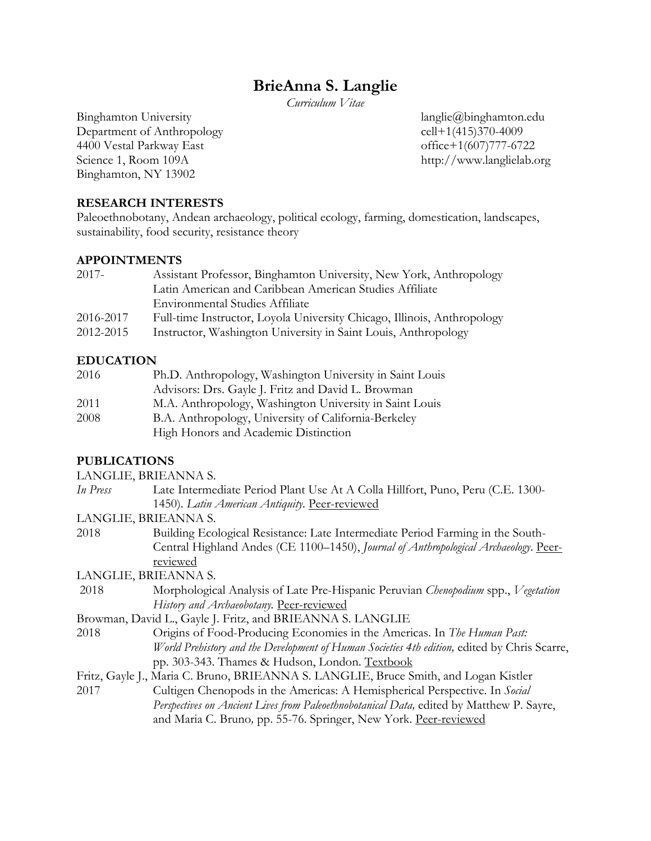# **BrieAnna S. Langlie**

*Curriculum Vitae*

Binghamton University **langliering** langliering langliering langliering langliering langliering langliering langliering langliering langliering langliering langliering langliering langliering langliering langliering langli Department of Anthropology cell+1(415)370-4009 4400 Vestal Parkway East office+1(607)777-6722 Science 1, Room 109A http://www.langlielab.org Binghamton, NY 13902

### **RESEARCH INTERESTS**

Paleoethnobotany, Andean archaeology, political ecology, farming, domestication, landscapes, sustainability, food security, resistance theory

### **APPOINTMENTS**

| 2017-     | Assistant Professor, Binghamton University, New York, Anthropology      |
|-----------|-------------------------------------------------------------------------|
|           | Latin American and Caribbean American Studies Affiliate                 |
|           | <b>Environmental Studies Affiliate</b>                                  |
| 2016-2017 | Full-time Instructor, Loyola University Chicago, Illinois, Anthropology |
| 2012-2015 | Instructor, Washington University in Saint Louis, Anthropology          |

# **EDUCATION**

| 2016 | Ph.D. Anthropology, Washington University in Saint Louis |
|------|----------------------------------------------------------|
|      | Advisors: Drs. Gayle J. Fritz and David L. Browman       |
| 2011 | M.A. Anthropology, Washington University in Saint Louis  |
| 2008 | B.A. Anthropology, University of California-Berkeley     |
|      | High Honors and Academic Distinction                     |

# **PUBLICATIONS**

LANGLIE, BRIEANNA S.

| In Press | Late Intermediate Period Plant Use At A Colla Hillfort, Puno, Peru (C.E. 1300- |
|----------|--------------------------------------------------------------------------------|
|          | 1450). Latin American Antiquity. Peer-reviewed                                 |

#### LANGLIE, BRIEANNA S.

2018 Building Ecological Resistance: Late Intermediate Period Farming in the South-Central Highland Andes (CE 1100–1450), *Journal of Anthropological Archaeology*. Peerreviewed

LANGLIE, BRIEANNA S.

2018 Morphological Analysis of Late Pre-Hispanic Peruvian *Chenopodium* spp., *Vegetation History and Archaeobotany.* Peer-reviewed

Browman, David L., Gayle J. Fritz, and BRIEANNA S. LANGLIE

- 2018 Origins of Food-Producing Economies in the Americas. In *The Human Past: World Prehistory and the Development of Human Societies 4th edition,* edited by Chris Scarre, pp. 303-343. Thames & Hudson, London. Textbook
- Fritz, Gayle J., Maria C. Bruno, BRIEANNA S. LANGLIE, Bruce Smith, and Logan Kistler 2017 Cultigen Chenopods in the Americas: A Hemispherical Perspective. In *Social Perspectives on Ancient Lives from Paleoethnobotanical Data,* edited by Matthew P. Sayre, and Maria C. Bruno*,* pp. 55-76. Springer, New York. Peer-reviewed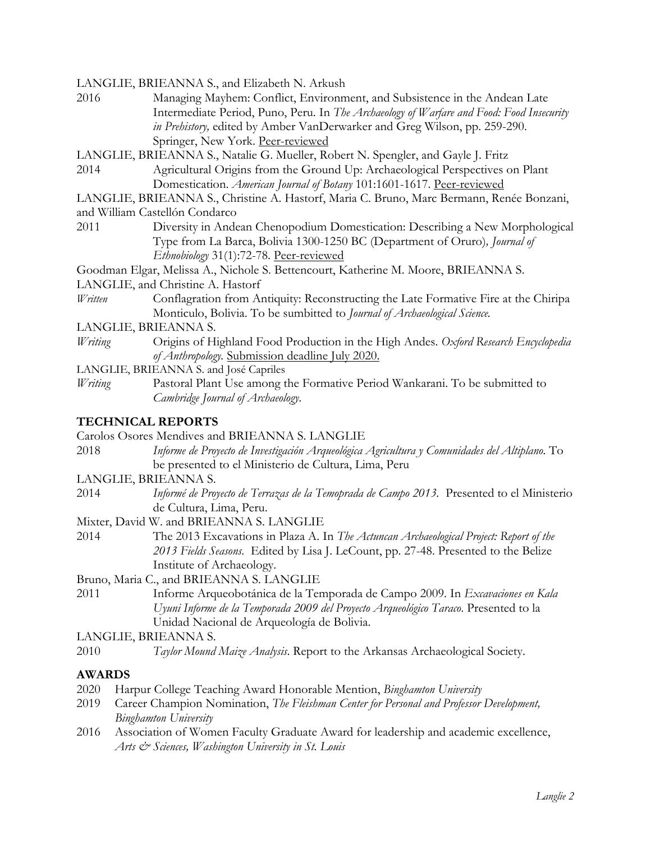LANGLIE, BRIEANNA S., and Elizabeth N. Arkush

- 2016 Managing Mayhem: Conflict, Environment, and Subsistence in the Andean Late Intermediate Period, Puno, Peru. In *The Archaeology of Warfare and Food: Food Insecurity in Prehistory,* edited by Amber VanDerwarker and Greg Wilson, pp. 259-290. Springer, New York. Peer-reviewed
- LANGLIE, BRIEANNA S., Natalie G. Mueller, Robert N. Spengler, and Gayle J. Fritz
- 2014 Agricultural Origins from the Ground Up: Archaeological Perspectives on Plant Domestication. *American Journal of Botany* 101:1601-1617. Peer-reviewed
- LANGLIE, BRIEANNA S., Christine A. Hastorf, Maria C. Bruno, Marc Bermann, Renée Bonzani,
- and William Castellón Condarco
- 2011 Diversity in Andean Chenopodium Domestication: Describing a New Morphological Type from La Barca, Bolivia 1300-1250 BC (Department of Oruro)*, Journal of Ethnobiology* 31(1):72-78. Peer-reviewed
- Goodman Elgar, Melissa A., Nichole S. Bettencourt, Katherine M. Moore, BRIEANNA S.
- LANGLIE, and Christine A. Hastorf
- *Written* Conflagration from Antiquity: Reconstructing the Late Formative Fire at the Chiripa Monticulo, Bolivia. To be sumbitted to *Journal of Archaeological Science.*
- LANGLIE, BRIEANNA S.
- *Writing* Origins of Highland Food Production in the High Andes. *Oxford Research Encyclopedia of Anthropology.* Submission deadline July 2020.
- LANGLIE, BRIEANNA S. and José Capriles
- *Writing* Pastoral Plant Use among the Formative Period Wankarani. To be submitted to *Cambridge Journal of Archaeology*.

#### **TECHNICAL REPORTS**

- Carolos Osores Mendives and BRIEANNA S. LANGLIE
- 2018 *Informe de Proyecto de Investigación Arqueológica Agricultura y Comunidades del Altiplano.* To be presented to el Ministerio de Cultura, Lima, Peru
- LANGLIE, BRIEANNA S.
- 2014 *Informé de Proyecto de Terrazas de la Temoprada de Campo 2013.* Presented to el Ministerio de Cultura, Lima, Peru.
- Mixter, David W. and BRIEANNA S. LANGLIE
- 2014 The 2013 Excavations in Plaza A. In *The Actuncan Archaeological Project: Report of the 2013 Fields Seasons.* Edited by Lisa J. LeCount, pp. 27-48. Presented to the Belize Institute of Archaeology.
- Bruno, Maria C., and BRIEANNA S. LANGLIE
- 2011 Informe Arqueobotánica de la Temporada de Campo 2009. In *Excavaciones en Kala Uyuni Informe de la Temporada 2009 del Proyecto Arqueológico Taraco*. Presented to la Unidad Nacional de Arqueología de Bolivia.
- LANGLIE, BRIEANNA S.
- 2010 *Taylor Mound Maize Analysis*. Report to the Arkansas Archaeological Society.

#### **AWARDS**

- 2020 Harpur College Teaching Award Honorable Mention, *Binghamton University*
- 2019 Career Champion Nomination, *The Fleishman Center for Personal and Professor Development, Binghamton University*
- 2016 Association of Women Faculty Graduate Award for leadership and academic excellence, *Arts & Sciences, Washington University in St. Louis*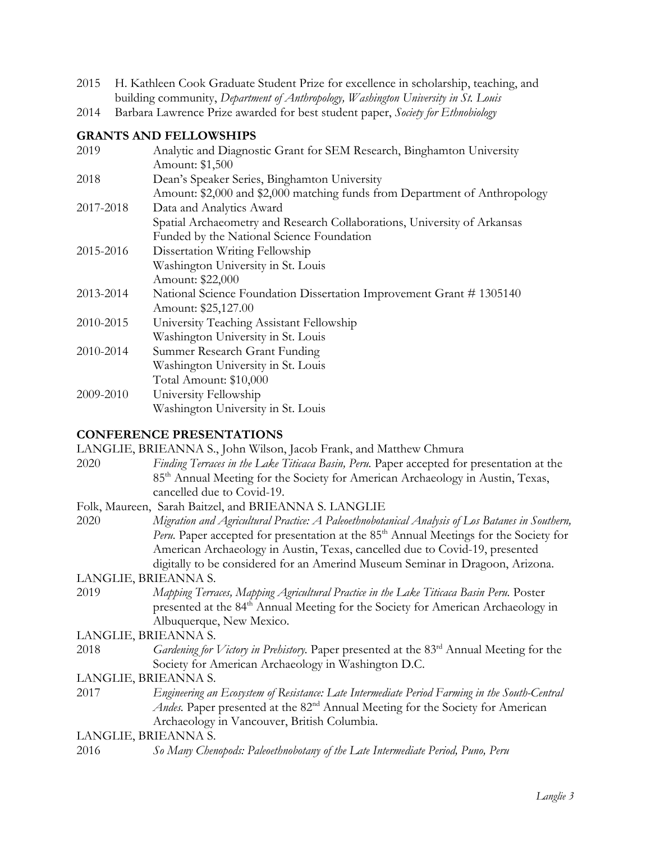- 2015 H. Kathleen Cook Graduate Student Prize for excellence in scholarship, teaching, and building community, *Department of Anthropology, Washington University in St. Louis*
- 2014 Barbara Lawrence Prize awarded for best student paper, *Society for Ethnobiology*

# **GRANTS AND FELLOWSHIPS**

| 2019      | Analytic and Diagnostic Grant for SEM Research, Binghamton University<br>Amount: \$1,500 |
|-----------|------------------------------------------------------------------------------------------|
| 2018      | Dean's Speaker Series, Binghamton University                                             |
|           | Amount: \$2,000 and \$2,000 matching funds from Department of Anthropology               |
| 2017-2018 | Data and Analytics Award                                                                 |
|           | Spatial Archaeometry and Research Collaborations, University of Arkansas                 |
|           | Funded by the National Science Foundation                                                |
| 2015-2016 | Dissertation Writing Fellowship                                                          |
|           | Washington University in St. Louis                                                       |
|           | Amount: \$22,000                                                                         |
| 2013-2014 | National Science Foundation Dissertation Improvement Grant #1305140                      |
|           | Amount: \$25,127.00                                                                      |
| 2010-2015 | University Teaching Assistant Fellowship                                                 |
|           | Washington University in St. Louis                                                       |
| 2010-2014 | Summer Research Grant Funding                                                            |
|           | Washington University in St. Louis                                                       |
|           | Total Amount: \$10,000                                                                   |
| 2009-2010 | University Fellowship                                                                    |
|           | Washington University in St. Louis                                                       |

# **CONFERENCE PRESENTATIONS**

|                      | LANGLIE, BRIEANNA S., John Wilson, Jacob Frank, and Matthew Chmura                                  |
|----------------------|-----------------------------------------------------------------------------------------------------|
| 2020                 | Finding Terraces in the Lake Titicaca Basin, Peru. Paper accepted for presentation at the           |
|                      | 85 <sup>th</sup> Annual Meeting for the Society for American Archaeology in Austin, Texas,          |
|                      | cancelled due to Covid-19.                                                                          |
|                      | Folk, Maureen, Sarah Baitzel, and BRIEANNA S. LANGLIE                                               |
| 2020                 | Migration and Agricultural Practice: A Paleoethnobotanical Analysis of Los Batanes in Southern,     |
|                      | Peru. Paper accepted for presentation at the 85 <sup>th</sup> Annual Meetings for the Society for   |
|                      | American Archaeology in Austin, Texas, cancelled due to Covid-19, presented                         |
|                      | digitally to be considered for an Amerind Museum Seminar in Dragoon, Arizona.                       |
| LANGLIE, BRIEANNA S. |                                                                                                     |
| 2019                 | Mapping Terraces, Mapping Agricultural Practice in the Lake Titicaca Basin Peru. Poster             |
|                      | presented at the 84 <sup>th</sup> Annual Meeting for the Society for American Archaeology in        |
|                      | Albuquerque, New Mexico.                                                                            |
| LANGLIE, BRIEANNA S. |                                                                                                     |
| 2018                 | Gardening for Victory in Prehistory. Paper presented at the 83 <sup>rd</sup> Annual Meeting for the |
|                      | Society for American Archaeology in Washington D.C.                                                 |
| LANGLIE, BRIEANNA S. |                                                                                                     |
| 2017                 | Engineering an Ecosystem of Resistance: Late Intermediate Period Farming in the South-Central       |
|                      | Andes. Paper presented at the 82 <sup>nd</sup> Annual Meeting for the Society for American          |
|                      | Archaeology in Vancouver, British Columbia.                                                         |
| LANGLIE, BRIEANNA S. |                                                                                                     |
| 2016                 | So Many Chenopods: Paleoethnobotany of the Late Intermediate Period, Puno, Peru                     |
|                      |                                                                                                     |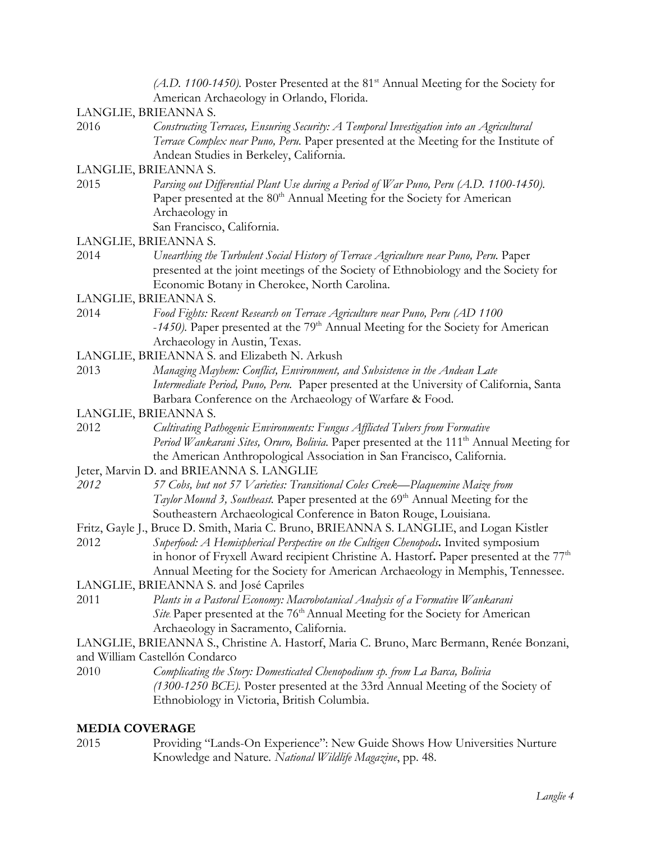|      | $(A.D. 1100-1450)$ . Poster Presented at the 81 <sup>st</sup> Annual Meeting for the Society for<br>American Archaeology in Orlando, Florida.                                                                                                                                                                                                                         |
|------|-----------------------------------------------------------------------------------------------------------------------------------------------------------------------------------------------------------------------------------------------------------------------------------------------------------------------------------------------------------------------|
|      | LANGLIE, BRIEANNA S.                                                                                                                                                                                                                                                                                                                                                  |
| 2016 | Constructing Terraces, Ensuring Security: A Temporal Investigation into an Agricultural<br>Terrace Complex near Puno, Peru. Paper presented at the Meeting for the Institute of<br>Andean Studies in Berkeley, California.                                                                                                                                            |
|      | LANGLIE, BRIEANNA S.                                                                                                                                                                                                                                                                                                                                                  |
| 2015 | Parsing out Differential Plant Use during a Period of War Puno, Peru (A.D. 1100-1450).<br>Paper presented at the 80 <sup>th</sup> Annual Meeting for the Society for American<br>Archaeology in<br>San Francisco, California.                                                                                                                                         |
|      | LANGLIE, BRIEANNA S.                                                                                                                                                                                                                                                                                                                                                  |
| 2014 | Unearthing the Turbulent Social History of Terrace Agriculture near Puno, Peru. Paper<br>presented at the joint meetings of the Society of Ethnobiology and the Society for<br>Economic Botany in Cherokee, North Carolina.                                                                                                                                           |
|      | LANGLIE, BRIEANNA S.                                                                                                                                                                                                                                                                                                                                                  |
| 2014 | Food Fights: Recent Research on Terrace Agriculture near Puno, Peru (AD 1100<br>-1450). Paper presented at the 79 <sup>th</sup> Annual Meeting for the Society for American<br>Archaeology in Austin, Texas.                                                                                                                                                          |
|      | LANGLIE, BRIEANNA S. and Elizabeth N. Arkush                                                                                                                                                                                                                                                                                                                          |
| 2013 | Managing Mayhem: Conflict, Environment, and Subsistence in the Andean Late<br>Intermediate Period, Puno, Peru. Paper presented at the University of California, Santa<br>Barbara Conference on the Archaeology of Warfare & Food.                                                                                                                                     |
|      | LANGLIE, BRIEANNA S.                                                                                                                                                                                                                                                                                                                                                  |
| 2012 | Cultivating Pathogenic Environments: Fungus Afflicted Tubers from Formative<br>Period Wankarani Sites, Oruro, Bolivia. Paper presented at the 111 <sup>th</sup> Annual Meeting for<br>the American Anthropological Association in San Francisco, California.                                                                                                          |
|      | Jeter, Marvin D. and BRIEANNA S. LANGLIE                                                                                                                                                                                                                                                                                                                              |
| 2012 | 57 Cobs, but not 57 Varieties: Transitional Coles Creek—Plaquemine Maize from<br>Taylor Mound 3, Southeast. Paper presented at the 69 <sup>th</sup> Annual Meeting for the<br>Southeastern Archaeological Conference in Baton Rouge, Louisiana.                                                                                                                       |
| 2012 | Fritz, Gayle J., Bruce D. Smith, Maria C. Bruno, BRIEANNA S. LANGLIE, and Logan Kistler<br>Superfood: A Hemispherical Perspective on the Cultigen Chenopods. Invited symposium<br>in honor of Fryxell Award recipient Christine A. Hastorf. Paper presented at the 77 <sup>th</sup><br>Annual Meeting for the Society for American Archaeology in Memphis, Tennessee. |
|      | LANGLIE, BRIEANNA S. and José Capriles                                                                                                                                                                                                                                                                                                                                |
| 2011 | Plants in a Pastoral Economy: Macrobotanical Analysis of a Formative Wankarani<br>Site Paper presented at the 76 <sup>th</sup> Annual Meeting for the Society for American<br>Archaeology in Sacramento, California.                                                                                                                                                  |
|      | LANGLIE, BRIEANNA S., Christine A. Hastorf, Maria C. Bruno, Marc Bermann, Renée Bonzani,                                                                                                                                                                                                                                                                              |
|      | and William Castellón Condarco                                                                                                                                                                                                                                                                                                                                        |
| 2010 | Complicating the Story: Domesticated Chenopodium sp. from La Barca, Bolivia<br>(1300-1250 BCE). Poster presented at the 33rd Annual Meeting of the Society of<br>Ethnobiology in Victoria, British Columbia.                                                                                                                                                          |
|      |                                                                                                                                                                                                                                                                                                                                                                       |

### **MEDIA COVERAGE**

2015 Providing "Lands-On Experience": New Guide Shows How Universities Nurture Knowledge and Nature*. National Wildlife Magazine*, pp. 48.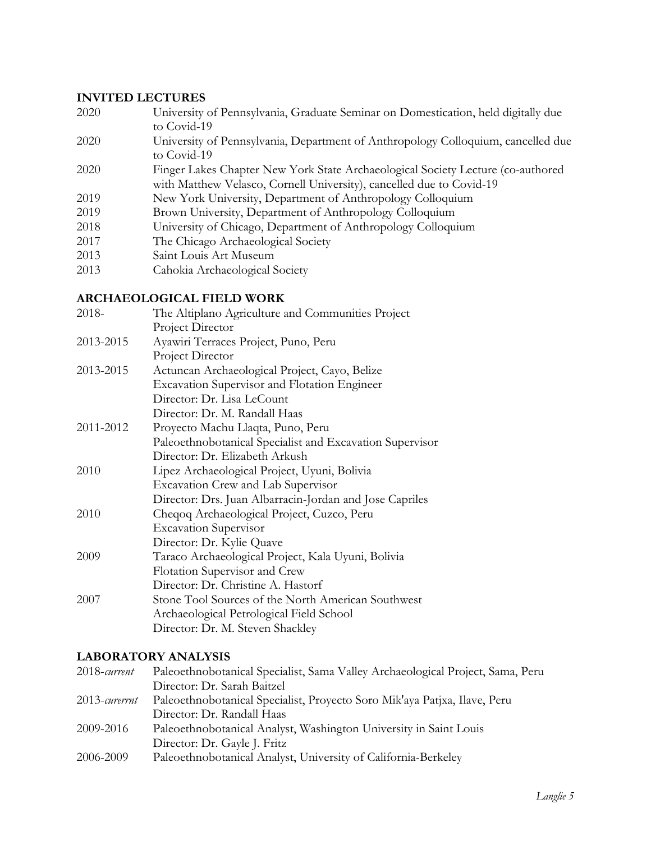#### **INVITED LECTURES**

- 2020 University of Pennsylvania, Graduate Seminar on Domestication, held digitally due to Covid-19
- 2020 University of Pennsylvania, Department of Anthropology Colloquium, cancelled due to Covid-19
- 2020 Finger Lakes Chapter New York State Archaeological Society Lecture (co-authored with Matthew Velasco, Cornell University), cancelled due to Covid-19
- 2019 New York University, Department of Anthropology Colloquium
- 2019 Brown University, Department of Anthropology Colloquium
- 2018 University of Chicago, Department of Anthropology Colloquium
- 2017 The Chicago Archaeological Society
- 2013 Saint Louis Art Museum
- 2013 Cahokia Archaeological Society

#### **ARCHAEOLOGICAL FIELD WORK**

| The Altiplano Agriculture and Communities Project        |
|----------------------------------------------------------|
| Project Director                                         |
| Ayawiri Terraces Project, Puno, Peru                     |
| Project Director                                         |
| Actuncan Archaeological Project, Cayo, Belize            |
| <b>Excavation Supervisor and Flotation Engineer</b>      |
| Director: Dr. Lisa LeCount                               |
| Director: Dr. M. Randall Haas                            |
| Proyecto Machu Llaqta, Puno, Peru                        |
| Paleoethnobotanical Specialist and Excavation Supervisor |
| Director: Dr. Elizabeth Arkush                           |
| Lipez Archaeological Project, Uyuni, Bolivia             |
| <b>Excavation Crew and Lab Supervisor</b>                |
| Director: Drs. Juan Albarracin-Jordan and Jose Capriles  |
| Cheqoq Archaeological Project, Cuzco, Peru               |
| <b>Excavation Supervisor</b>                             |
| Director: Dr. Kylie Quave                                |
| Taraco Archaeological Project, Kala Uyuni, Bolivia       |
| Flotation Supervisor and Crew                            |
| Director: Dr. Christine A. Hastorf                       |
| Stone Tool Sources of the North American Southwest       |
| Archaeological Petrological Field School                 |
| Director: Dr. M. Steven Shackley                         |
|                                                          |

#### **LABORATORY ANALYSIS**

| 2018-current     | Paleoethnobotanical Specialist, Sama Valley Archaeological Project, Sama, Peru |
|------------------|--------------------------------------------------------------------------------|
|                  | Director: Dr. Sarah Baitzel                                                    |
| $2013$ -curerrnt | Paleoethnobotanical Specialist, Proyecto Soro Mik'aya Patjxa, Ilave, Peru      |
|                  | Director: Dr. Randall Haas                                                     |
| 2009-2016        | Paleoethnobotanical Analyst, Washington University in Saint Louis              |
|                  | Director: Dr. Gayle J. Fritz                                                   |
| 2006-2009        | Paleoethnobotanical Analyst, University of California-Berkeley                 |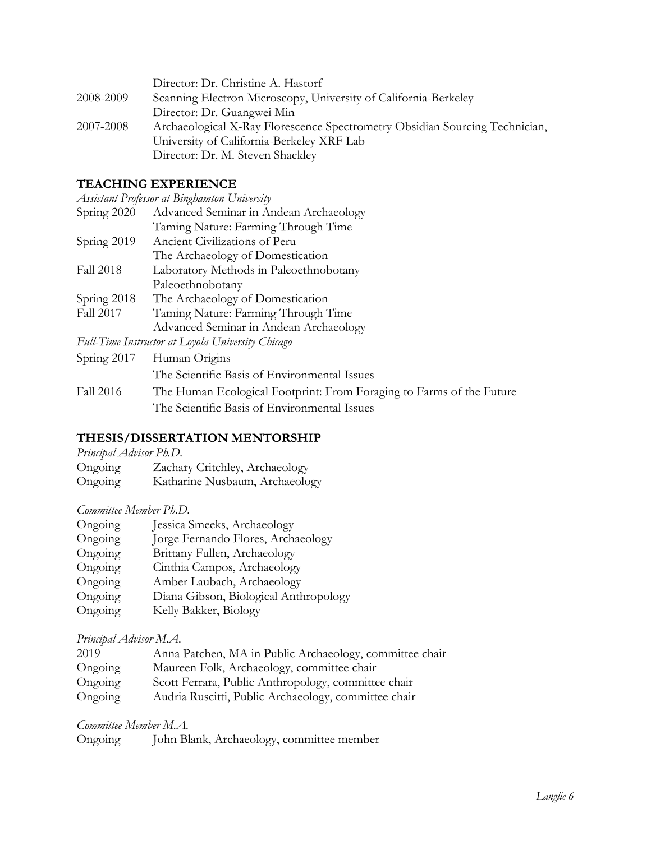|           | Director: Dr. Christine A. Hastorf                                          |
|-----------|-----------------------------------------------------------------------------|
| 2008-2009 | Scanning Electron Microscopy, University of California-Berkeley             |
|           | Director: Dr. Guangwei Min                                                  |
| 2007-2008 | Archaeological X-Ray Florescence Spectrometry Obsidian Sourcing Technician, |
|           | University of California-Berkeley XRF Lab                                   |
|           | Director: Dr. M. Steven Shackley                                            |

# **TEACHING EXPERIENCE**

|                  | Assistant Professor at Binghamton University       |
|------------------|----------------------------------------------------|
| Spring 2020      | Advanced Seminar in Andean Archaeology             |
|                  | Taming Nature: Farming Through Time                |
| Spring 2019      | Ancient Civilizations of Peru                      |
|                  | The Archaeology of Domestication                   |
| <b>Fall 2018</b> | Laboratory Methods in Paleoethnobotany             |
|                  | Paleoethnobotany                                   |
| Spring 2018      | The Archaeology of Domestication                   |
| Fall 2017        | Taming Nature: Farming Through Time                |
|                  | Advanced Seminar in Andean Archaeology             |
|                  | Full-Time Instructor at I ovala University Chicago |

*Full-Time Instructor at Loyola University Chicago*

|           | Spring 2017 Human Origins                                            |
|-----------|----------------------------------------------------------------------|
|           | The Scientific Basis of Environmental Issues                         |
| Fall 2016 | The Human Ecological Footprint: From Foraging to Farms of the Future |
|           | The Scientific Basis of Environmental Issues                         |

### **THESIS/DISSERTATION MENTORSHIP**

| Principal Advisor Ph.D. |  |
|-------------------------|--|
|-------------------------|--|

| Ongoing                    | Zachary Critchley, Archaeology                                                                         |  |
|----------------------------|--------------------------------------------------------------------------------------------------------|--|
| $\curvearrowright$ $\cdot$ | $\mathbf{I} \times \mathbf{I} \times \mathbf{I} \times \mathbf{I} \times \mathbf{I} \times \mathbf{I}$ |  |

Ongoing Katharine Nusbaum, Archaeology

# *Committee Member Ph.D.*

| Ongoing | Jessica Smeeks, Archaeology           |
|---------|---------------------------------------|
| Ongoing | Jorge Fernando Flores, Archaeology    |
| Ongoing | Brittany Fullen, Archaeology          |
| Ongoing | Cinthia Campos, Archaeology           |
| Ongoing | Amber Laubach, Archaeology            |
| Ongoing | Diana Gibson, Biological Anthropology |
| Ongoing | Kelly Bakker, Biology                 |
|         |                                       |

# *Principal Advisor M.A.*

| 2019    | Anna Patchen, MA in Public Archaeology, committee chair |
|---------|---------------------------------------------------------|
| Ongoing | Maureen Folk, Archaeology, committee chair              |
| Ongoing | Scott Ferrara, Public Anthropology, committee chair     |
| Ongoing | Audria Ruscitti, Public Archaeology, committee chair    |

#### *Committee Member M.A.*

| Ongoing | John Blank, Archaeology, committee member |  |
|---------|-------------------------------------------|--|
|---------|-------------------------------------------|--|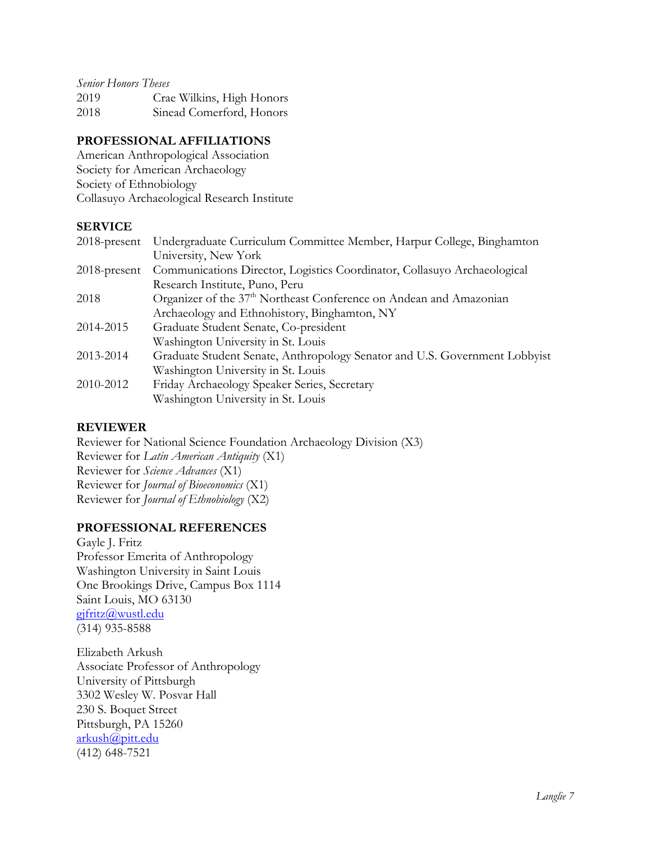| <b>Senior Honors Theses</b> |                           |
|-----------------------------|---------------------------|
| 2019                        | Crae Wilkins, High Honors |
| 2018                        | Sinead Comerford, Honors  |

# **PROFESSIONAL AFFILIATIONS**

American Anthropological Association Society for American Archaeology Society of Ethnobiology Collasuyo Archaeological Research Institute

### **SERVICE**

| $2018$ -present | Undergraduate Curriculum Committee Member, Harpur College, Binghamton          |
|-----------------|--------------------------------------------------------------------------------|
|                 | University, New York                                                           |
| $2018$ -present | Communications Director, Logistics Coordinator, Collasuyo Archaeological       |
|                 | Research Institute, Puno, Peru                                                 |
| 2018            | Organizer of the 37 <sup>th</sup> Northeast Conference on Andean and Amazonian |
|                 | Archaeology and Ethnohistory, Binghamton, NY                                   |
| 2014-2015       | Graduate Student Senate, Co-president                                          |
|                 | Washington University in St. Louis                                             |
| 2013-2014       | Graduate Student Senate, Anthropology Senator and U.S. Government Lobbyist     |
|                 | Washington University in St. Louis                                             |
| 2010-2012       | Friday Archaeology Speaker Series, Secretary                                   |
|                 | Washington University in St. Louis                                             |

### **REVIEWER**

Reviewer for National Science Foundation Archaeology Division (X3) Reviewer for *Latin American Antiquity* (X1) Reviewer for *Science Advances* (X1) Reviewer for *Journal of Bioeconomics* (X1) Reviewer for *Journal of Ethnobiology* (X2)

# **PROFESSIONAL REFERENCES**

Gayle J. Fritz Professor Emerita of Anthropology Washington University in Saint Louis One Brookings Drive, Campus Box 1114 Saint Louis, MO 63130 gjfritz@wustl.edu (314) 935-8588

Elizabeth Arkush Associate Professor of Anthropology University of Pittsburgh 3302 Wesley W. Posvar Hall 230 S. Boquet Street Pittsburgh, PA 15260 arkush@pitt.edu (412) 648-7521